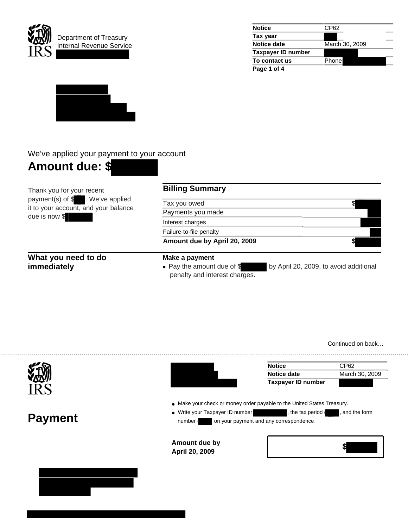

| <b>Notice</b>             | CP62           |  |
|---------------------------|----------------|--|
| Tax year                  |                |  |
| Notice date               | March 30, 2009 |  |
| <b>Taxpayer ID number</b> |                |  |
| To contact us             | Phone          |  |
| Page 1 of 4               |                |  |



## We've applied your payment to your account



Thank you for your recent payment(s) of \$ . We've applied it to your account, and your balance due is now \$

## **What you need to do immediately**

# **Billing Summary**

Tax you owed \$

Payments you made

Interest charges Failure-to-file penalty

Amount due by April 20, 2009

#### **Make a payment**

• Pay the amount due of  $\frac{1}{2}$  by April 20, 2009, to avoid additional penalty and interest charges.



Continued on back…

**Notice** CP62 **Notice date** March 30, 2009 **Taxpayer ID number**   $\bullet$  Make your check or money order payable to the United States Treasury. • Write your Taxpayer ID number , the tax period ( , and the form **Payment**  number ( on your payment and any correspondence. **Amount due by April 20, 2009 \$**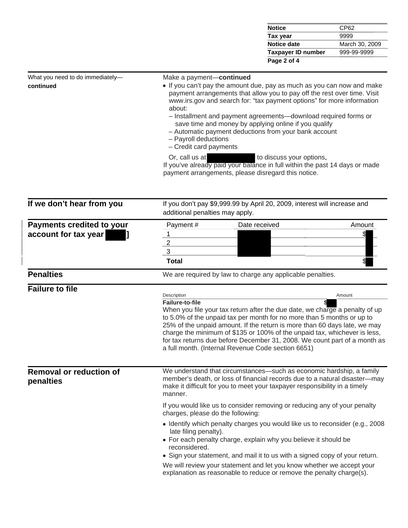| <b>Notice</b><br>CP62                    |                |  |
|------------------------------------------|----------------|--|
| 9999<br>Tax year                         |                |  |
| Notice date                              | March 30, 2009 |  |
| 999-99-9999<br><b>Taxpayer ID number</b> |                |  |
| Page 2 of 4                              |                |  |

| What you need to do immediately-<br>continued | Make a payment-continued<br>• If you can't pay the amount due, pay as much as you can now and make<br>payment arrangements that allow you to pay off the rest over time. Visit<br>www.irs.gov and search for: "tax payment options" for more information<br>about:<br>- Installment and payment agreements-download required forms or<br>save time and money by applying online if you qualify<br>- Automatic payment deductions from your bank account<br>- Payroll deductions<br>- Credit card payments |
|-----------------------------------------------|-----------------------------------------------------------------------------------------------------------------------------------------------------------------------------------------------------------------------------------------------------------------------------------------------------------------------------------------------------------------------------------------------------------------------------------------------------------------------------------------------------------|
|                                               | to discuss your options.<br>Or, call us at the control of the control of the control of the control of the control of the control of the control of the control of the control of the control of the control of the control of the control of the control<br>If you've already paid your balance in full within the past 14 days or made<br>payment arrangements, please disregard this notice.                                                                                                           |
|                                               |                                                                                                                                                                                                                                                                                                                                                                                                                                                                                                           |

| If we don't hear from you                   | If you don't pay \$9,999.99 by April 20, 2009, interest will increase and<br>additional penalties may apply.                                                                                                                                                                                                                                                                                                                                       |        |  |  |  |
|---------------------------------------------|----------------------------------------------------------------------------------------------------------------------------------------------------------------------------------------------------------------------------------------------------------------------------------------------------------------------------------------------------------------------------------------------------------------------------------------------------|--------|--|--|--|
| <b>Payments credited to your</b>            | Payment#<br>Date received                                                                                                                                                                                                                                                                                                                                                                                                                          | Amount |  |  |  |
| account for tax year                        |                                                                                                                                                                                                                                                                                                                                                                                                                                                    |        |  |  |  |
|                                             | $\overline{2}$                                                                                                                                                                                                                                                                                                                                                                                                                                     |        |  |  |  |
|                                             | 3                                                                                                                                                                                                                                                                                                                                                                                                                                                  |        |  |  |  |
|                                             | <b>Total</b>                                                                                                                                                                                                                                                                                                                                                                                                                                       |        |  |  |  |
| <b>Penalties</b>                            | We are required by law to charge any applicable penalties.                                                                                                                                                                                                                                                                                                                                                                                         |        |  |  |  |
| <b>Failure to file</b>                      |                                                                                                                                                                                                                                                                                                                                                                                                                                                    |        |  |  |  |
|                                             | Description<br>Failure-to-file                                                                                                                                                                                                                                                                                                                                                                                                                     | Amount |  |  |  |
|                                             | When you file your tax return after the due date, we charge a penalty of up<br>to 5.0% of the unpaid tax per month for no more than 5 months or up to<br>25% of the unpaid amount. If the return is more than 60 days late, we may<br>charge the minimum of \$135 or 100% of the unpaid tax, whichever is less,<br>for tax returns due before December 31, 2008. We count part of a month as<br>a full month. (Internal Revenue Code section 6651) |        |  |  |  |
| <b>Removal or reduction of</b><br>penalties | We understand that circumstances—such as economic hardship, a family<br>member's death, or loss of financial records due to a natural disaster-may<br>make it difficult for you to meet your taxpayer responsibility in a timely<br>manner.                                                                                                                                                                                                        |        |  |  |  |
|                                             | If you would like us to consider removing or reducing any of your penalty<br>charges, please do the following:                                                                                                                                                                                                                                                                                                                                     |        |  |  |  |
|                                             | • Identify which penalty charges you would like us to reconsider (e.g., 2008)<br>late filing penalty).<br>• For each penalty charge, explain why you believe it should be<br>reconsidered.<br>• Sign your statement, and mail it to us with a signed copy of your return.<br>We will review your statement and let you know whether we accept your                                                                                                 |        |  |  |  |
|                                             | explanation as reasonable to reduce or remove the penalty charge(s).                                                                                                                                                                                                                                                                                                                                                                               |        |  |  |  |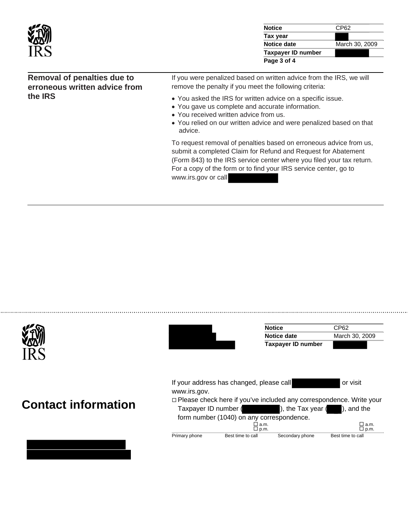| vs | <b>Notice</b><br>CP62         |
|----|-------------------------------|
|    | Tax year                      |
|    | Notice date<br>March 30, 2009 |
|    | <b>Taxpayer ID number</b>     |
|    | Page 3 of 4                   |

### **Removal of penalties due to erroneous written advice from the IRS**

If you were penalized based on written advice from the IRS, we will remove the penalty if you meet the following criteria:

- You asked the IRS for written advice on a specific issue.
- You gave us complete and accurate information.
- You received written advice from us.
- You relied on our written advice and were penalized based on that advice.

To request removal of penalties based on erroneous advice from us, submit a completed Claim for Refund and Request for Abatement (Form 843) to the IRS service center where you filed your tax return. For a copy of the form or to find your IRS service center, go to www.irs.gov or call